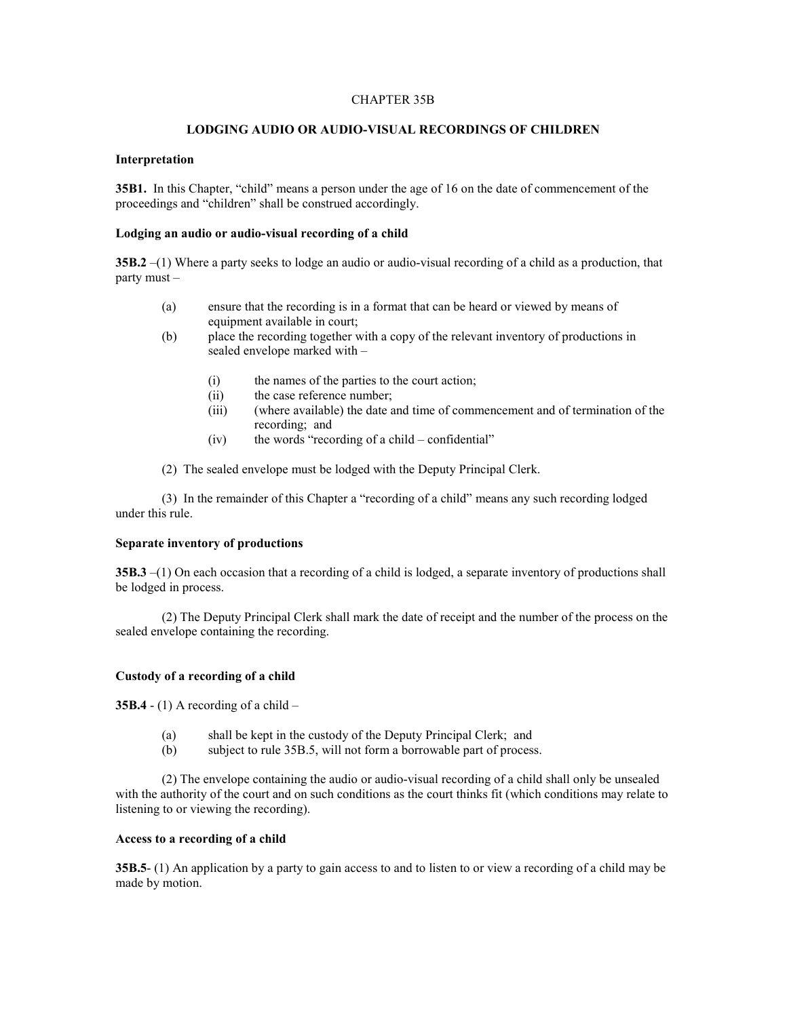## CHAPTER 35B

#### **LODGING AUDIO OR AUDIO-VISUAL RECORDINGS OF CHILDREN**

#### **Interpretation**

**35B1.** In this Chapter, "child" means a person under the age of 16 on the date of commencement of the proceedings and "children" shall be construed accordingly.

# **Lodging an audio or audio-visual recording of a child**

**35B.2** –(1) Where a party seeks to lodge an audio or audio-visual recording of a child as a production, that party must –

- (a) ensure that the recording is in a format that can be heard or viewed by means of equipment available in court;
- (b) place the recording together with a copy of the relevant inventory of productions in sealed envelope marked with –
	- (i) the names of the parties to the court action;
	- (ii) the case reference number;
	- (iii) (where available) the date and time of commencement and of termination of the recording; and
	- $(iv)$  the words "recording of a child confidential"
- (2) The sealed envelope must be lodged with the Deputy Principal Clerk.

(3) In the remainder of this Chapter a "recording of a child" means any such recording lodged under this rule.

# **Separate inventory of productions**

**35B.3** –(1) On each occasion that a recording of a child is lodged, a separate inventory of productions shall be lodged in process.

(2) The Deputy Principal Clerk shall mark the date of receipt and the number of the process on the sealed envelope containing the recording.

## **Custody of a recording of a child**

**35B.4**  $- (1)$  A recording of a child  $-$ 

- (a) shall be kept in the custody of the Deputy Principal Clerk; and
- (b) subject to rule 35B.5, will not form a borrowable part of process.

(2) The envelope containing the audio or audio-visual recording of a child shall only be unsealed with the authority of the court and on such conditions as the court thinks fit (which conditions may relate to listening to or viewing the recording).

#### **Access to a recording of a child**

**35B.5**- (1) An application by a party to gain access to and to listen to or view a recording of a child may be made by motion.